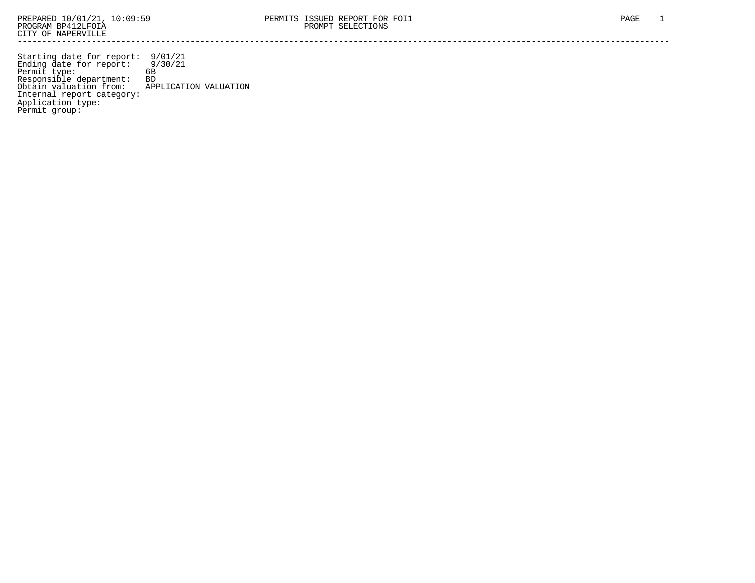Starting date for report: 9/01/21 Ending date for report: 9/30/21 Permit type: 6B Responsible department: BD Obtain valuation from: APPLICATION VALUATION Internal report category: Application type: Permit group: